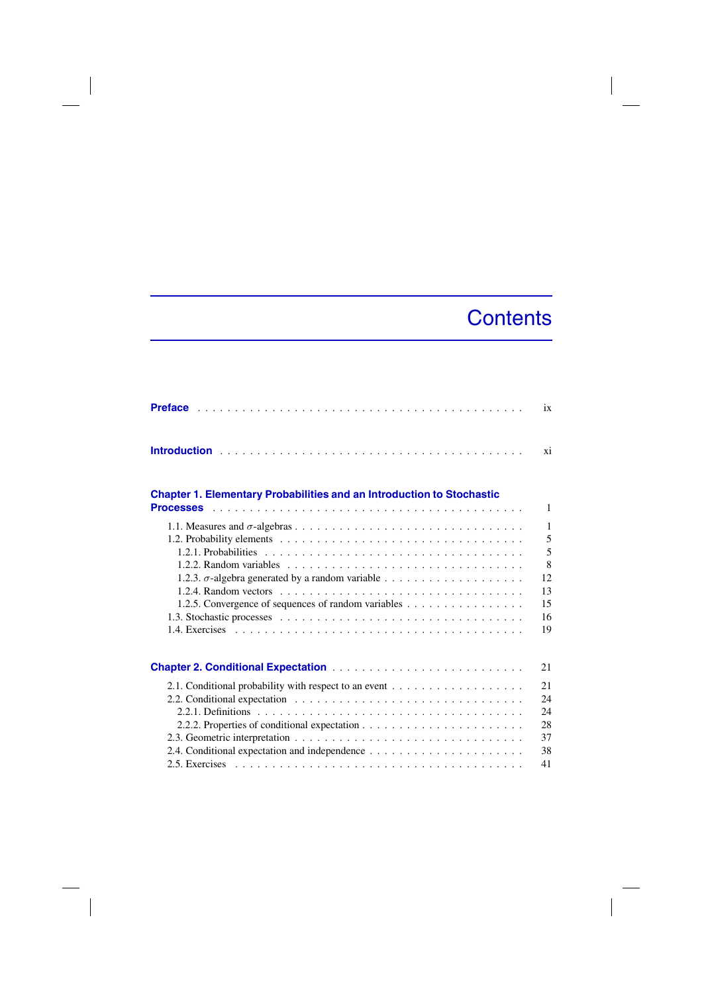## **Contents**

 $\overline{\phantom{a}}$ 

| <b>Preface</b><br>ix                                                                                                     |   |
|--------------------------------------------------------------------------------------------------------------------------|---|
| xi                                                                                                                       |   |
| <b>Chapter 1. Elementary Probabilities and an Introduction to Stochastic</b><br><b>Processes</b>                         | 1 |
|                                                                                                                          | 1 |
|                                                                                                                          | 5 |
|                                                                                                                          | 5 |
|                                                                                                                          | 8 |
| 12                                                                                                                       |   |
| 1.2.4. Random vectors $\ldots \ldots \ldots \ldots \ldots \ldots \ldots \ldots \ldots \ldots \ldots \ldots \ldots$<br>13 |   |
| 1.2.5. Convergence of sequences of random variables<br>15                                                                |   |
| 16                                                                                                                       |   |
| 19                                                                                                                       |   |
|                                                                                                                          |   |
| 21                                                                                                                       |   |
| 2.1. Conditional probability with respect to an event $\dots \dots \dots \dots \dots \dots \dots$<br>21                  |   |
| 24                                                                                                                       |   |
| 24                                                                                                                       |   |
| 28                                                                                                                       |   |
| 37                                                                                                                       |   |
| 38                                                                                                                       |   |
| 41                                                                                                                       |   |

 $\begin{array}{c} \hline \end{array}$ 

 $\overline{\phantom{a}}$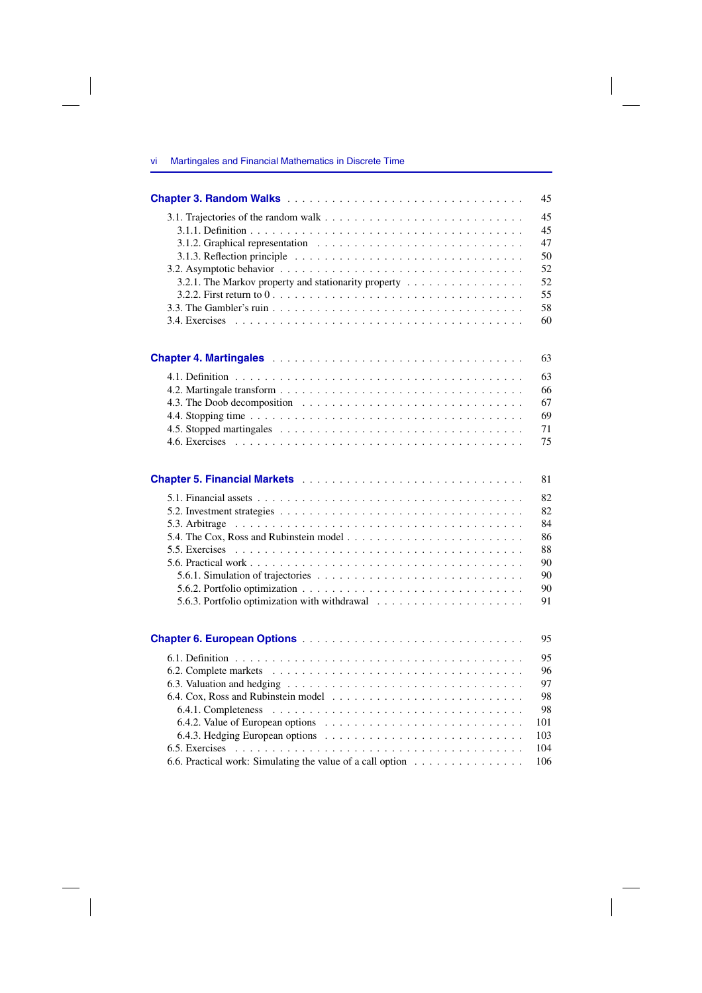|                                                                                                         | 45       |
|---------------------------------------------------------------------------------------------------------|----------|
|                                                                                                         | 45       |
|                                                                                                         | 45       |
|                                                                                                         | 47       |
|                                                                                                         | 50       |
|                                                                                                         | 52       |
| 3.2.1. The Markov property and stationarity property                                                    | 52       |
| 3.2.2. First return to $0 \ldots \ldots \ldots \ldots \ldots \ldots \ldots \ldots \ldots \ldots \ldots$ | 55       |
|                                                                                                         | 58       |
|                                                                                                         | 60       |
|                                                                                                         | 63       |
|                                                                                                         | 63       |
|                                                                                                         | 66       |
|                                                                                                         | 67       |
|                                                                                                         | 69       |
|                                                                                                         | 71       |
|                                                                                                         | 75       |
|                                                                                                         | 81       |
|                                                                                                         | 82       |
|                                                                                                         | 82       |
|                                                                                                         | 84       |
|                                                                                                         | 86       |
|                                                                                                         | 88       |
|                                                                                                         | 90       |
|                                                                                                         | 90       |
|                                                                                                         | 90<br>91 |
|                                                                                                         |          |
|                                                                                                         | 95       |
|                                                                                                         | 95       |
|                                                                                                         | 96       |
|                                                                                                         | 97       |
|                                                                                                         | 98       |
|                                                                                                         | 98       |
|                                                                                                         | 101      |
|                                                                                                         | 103      |
|                                                                                                         | 104      |
| 6.6. Practical work: Simulating the value of a call option                                              | 106      |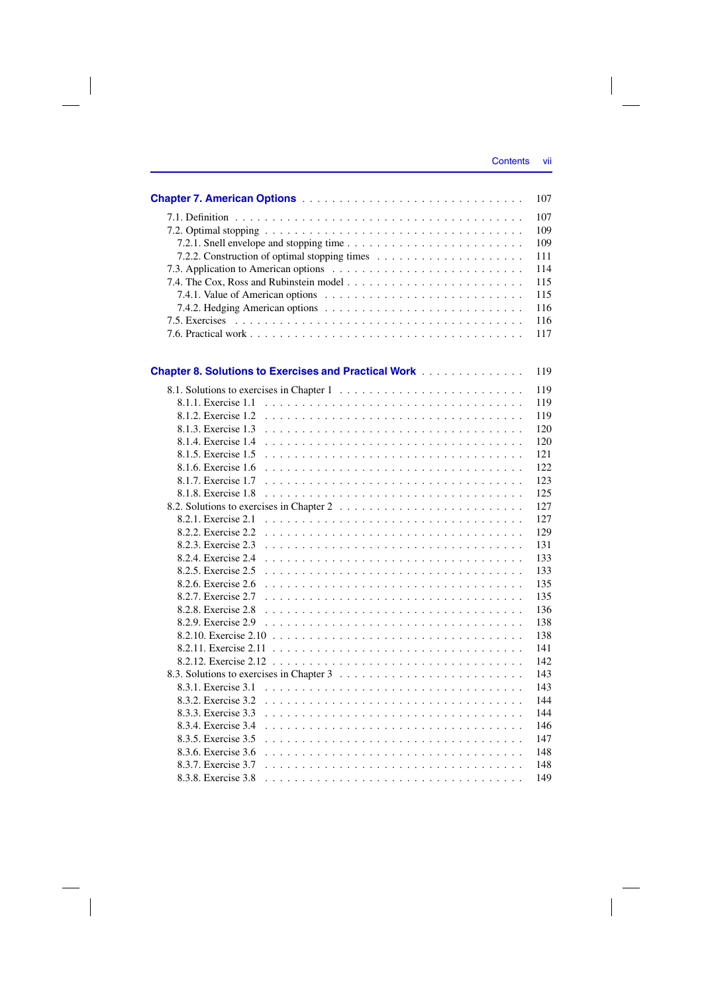|                                                                               | 107 |
|-------------------------------------------------------------------------------|-----|
|                                                                               | 107 |
|                                                                               | 109 |
|                                                                               | 109 |
|                                                                               | 111 |
|                                                                               | 114 |
|                                                                               | 115 |
|                                                                               | 115 |
|                                                                               | 116 |
|                                                                               | 116 |
|                                                                               | 117 |
| <b>Chapter 8. Solutions to Exercises and Practical Work Constitution 2018</b> | 119 |
|                                                                               |     |
|                                                                               | 119 |
| 8.1.1. Exercise 1.1                                                           | 119 |
| 8.1.2. Exercise 1.2                                                           | 119 |
| 8.1.3. Exercise 1.3                                                           | 120 |
| 8.1.4. Exercise 1.4                                                           | 120 |
| 8.1.5. Exercise 1.5                                                           | 121 |
| 8.1.6. Exercise 1.6                                                           | 122 |
| 8.1.7. Exercise 1.7                                                           | 123 |
| 8.1.8. Exercise 1.8                                                           | 125 |
|                                                                               | 127 |
| 8.2.1. Exercise 2.1                                                           | 127 |
| 8.2.2. Exercise 2.2                                                           | 129 |
| 8.2.3. Exercise 2.3                                                           | 131 |
| 8.2.4. Exercise 2.4                                                           | 133 |
| 8.2.5. Exercise 2.5                                                           | 133 |
| 8.2.6. Exercise 2.6                                                           | 135 |
| 8.2.7. Exercise 2.7                                                           | 135 |
| 8.2.8. Exercise 2.8                                                           | 136 |
| 8.2.9. Exercise 2.9                                                           | 138 |
|                                                                               | 138 |
|                                                                               | 141 |
|                                                                               | 142 |
|                                                                               | 143 |
| 8.3.1. Exercise 3.1                                                           | 143 |
| 8.3.2. Exercise 3.2                                                           | 144 |
| 8.3.3. Exercise 3.3                                                           | 144 |
| 8.3.4. Exercise 3.4                                                           | 146 |
| 8.3.5. Exercise 3.5                                                           | 147 |
| 8.3.6. Exercise 3.6                                                           | 148 |
| 8.3.7. Exercise 3.7                                                           | 148 |
| 8.3.8. Exercise 3.8                                                           | 149 |
|                                                                               |     |

 $\overline{\phantom{a}}$ 

 $\overline{\phantom{a}}$